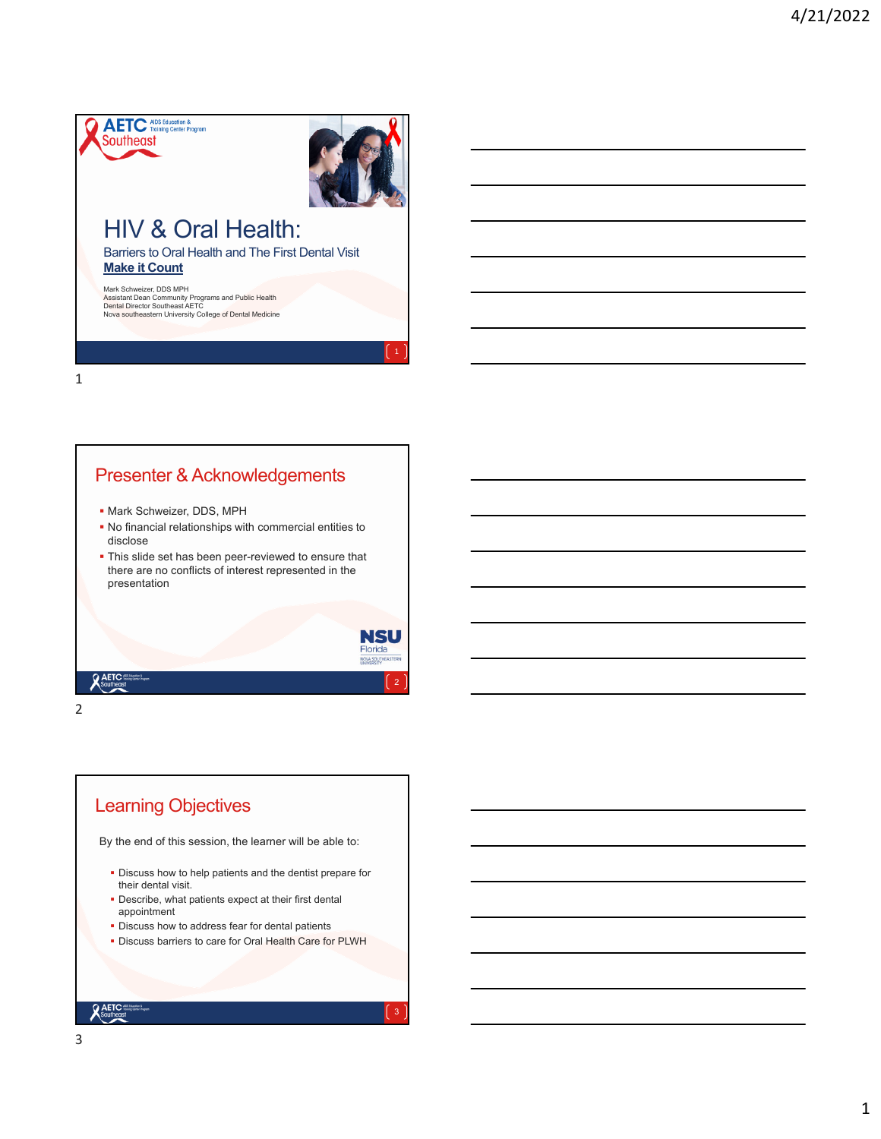

Mark Schweizer, DDS MPH<br>Assistant Dean Community Programs and Public Health<br>Dental Director Southeast AETC<br>Nova southeastern University College o<mark>f Dental Medi</mark>cine

1

2

**Q AETC**<br>Southed

## Presenter & Acknowledgements

- **Mark Schweizer, DDS, MPH**
- No financial relationships with commercial entities to disclose
- **This slide set has been peer-reviewed to ensure that** there are no conflicts of interest represented in the presentation



1

## Learning Objectives

By the end of this session, the learner will be able to:

- **Discuss how to help patients and the dentist prepare for** their dental visit.
- Describe, what patients expect at their first dental appointment
- **Discuss how to address fear for dental patients**
- **· Discuss barriers to care for Oral Health Care for PLWH**

**Q AETC**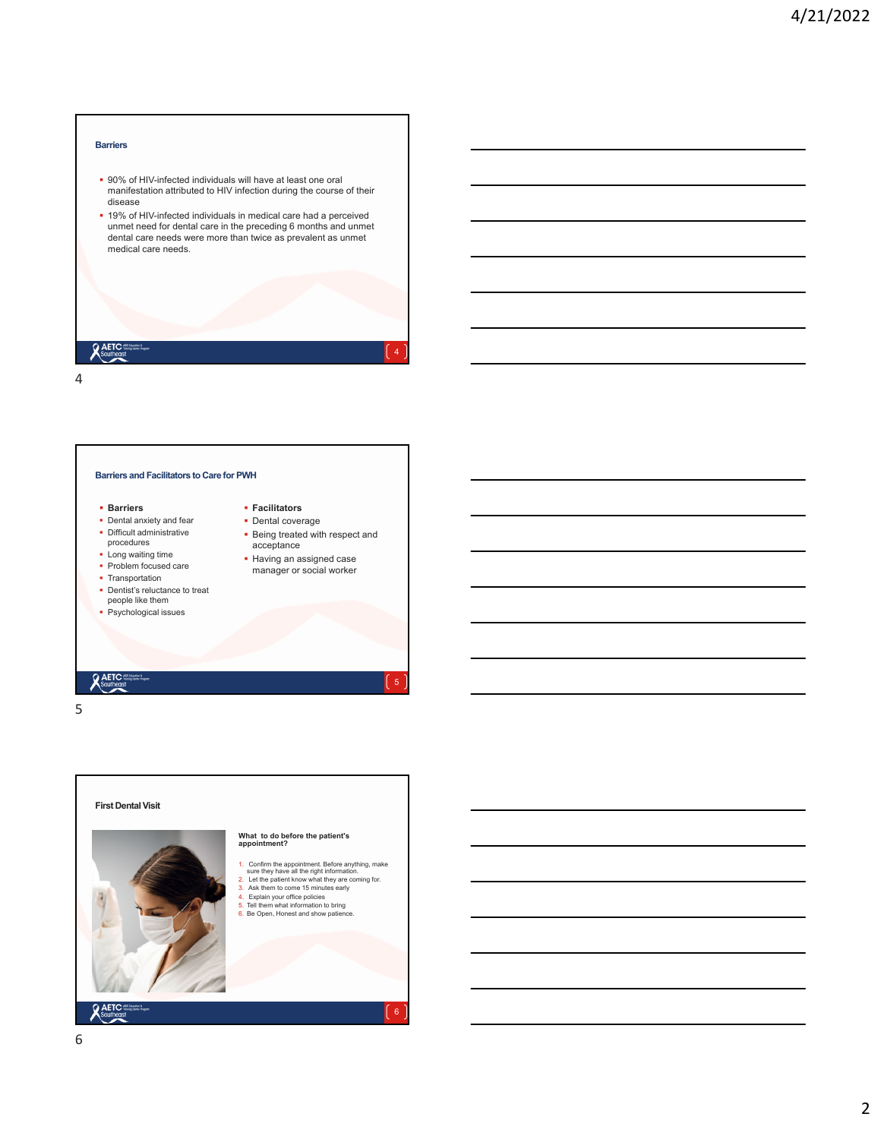#### **Barriers**

- 90% of HIV-infected individuals will have at least one oral manifestation attributed to HIV infection during the course of their disease
- 19% of HIV-infected individuals in medical care had a perceived unmet need for dental care in the preceding 6 months and unmet dental care needs were more than twice as prevalent as unmet medical care needs.

| <b>AETC</b> sustanting | 4 |
|------------------------|---|
| 4                      |   |

**Barriers and Facilitators to Care for PWH**

#### **Barriers**

- Dental anxiety and fear • Difficult administrative
- procedures **Long waiting time**
- Problem focused care
- Transportation
- 
- Dentist's reluctance to treat people like them
- **Psychological issues**

**Being treated with respect and Having an assigned case** manager or social worker

5

 **Facilitators** • Dental coverage

acceptance

# **Q** AETC

5



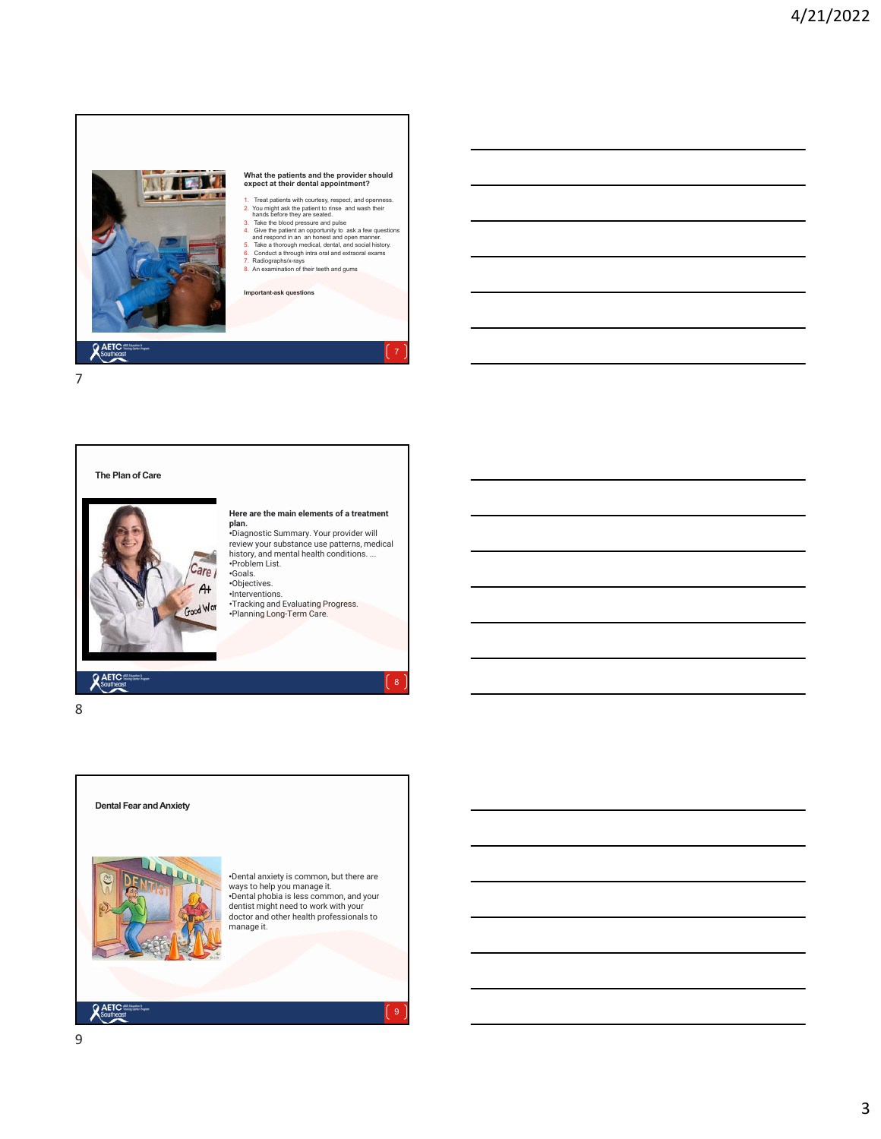



8

**AETC** Southeast



**Dental Fear and Anxiety**

**Here are the main elements of a treatment plan.** •Diagnostic Summary. Your provider will review your substance use patterns, medical

•Problem List. •Goals.

history, and mental health conditions. ...

 $\mathbf{8}$ 

9

•Objectives. •Interventions.

•Dental anxiety is common, but there are ways to help you manage it. •Dental phobia is less common, and your dentist might need to work with your doctor and other health professionals to manage it.

•Tracking and Evaluating Progress. •Planning Long-Term Care.

**AETC**